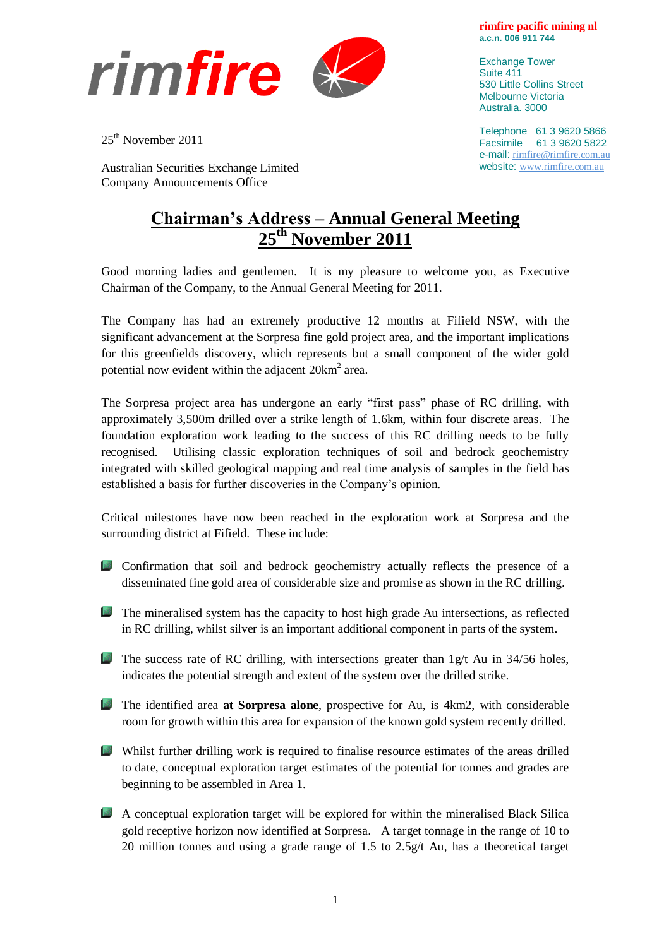

25<sup>th</sup> November 2011

Australian Securities Exchange Limited Company Announcements Office

## **Chairman's Address – Annual General Meeting 25th November 2011**

Good morning ladies and gentlemen. It is my pleasure to welcome you, as Executive Chairman of the Company, to the Annual General Meeting for 2011.

The Company has had an extremely productive 12 months at Fifield NSW, with the significant advancement at the Sorpresa fine gold project area, and the important implications for this greenfields discovery, which represents but a small component of the wider gold potential now evident within the adjacent  $20 \text{km}^2$  area.

The Sorpresa project area has undergone an early "first pass" phase of RC drilling, with approximately 3,500m drilled over a strike length of 1.6km, within four discrete areas. The foundation exploration work leading to the success of this RC drilling needs to be fully recognised. Utilising classic exploration techniques of soil and bedrock geochemistry integrated with skilled geological mapping and real time analysis of samples in the field has established a basis for further discoveries in the Company's opinion.

Critical milestones have now been reached in the exploration work at Sorpresa and the surrounding district at Fifield. These include:

- Confirmation that soil and bedrock geochemistry actually reflects the presence of a disseminated fine gold area of considerable size and promise as shown in the RC drilling.
- **The mineralised system has the capacity to host high grade Au intersections, as reflected** in RC drilling, whilst silver is an important additional component in parts of the system.
- The success rate of RC drilling, with intersections greater than  $1g/t$  Au in 34/56 holes, indicates the potential strength and extent of the system over the drilled strike.
- The identified area **at Sorpresa alone**, prospective for Au, is 4km2, with considerable room for growth within this area for expansion of the known gold system recently drilled.
- Whilst further drilling work is required to finalise resource estimates of the areas drilled to date, conceptual exploration target estimates of the potential for tonnes and grades are beginning to be assembled in Area 1.
- A conceptual exploration target will be explored for within the mineralised Black Silica gold receptive horizon now identified at Sorpresa. A target tonnage in the range of 10 to 20 million tonnes and using a grade range of 1.5 to 2.5g/t Au, has a theoretical target

**rimfire pacific mining nl a.c.n. 006 911 744**

Exchange Tower Suite 411 530 Little Collins Street Melbourne Victoria Australia. 3000

Telephone 61 3 9620 5866 Facsimile 61 3 9620 5822 e-mail: [rimfire@rimfire.com.au](mailto:rimfire@rimfire.com.au) website: [www.rimfire.com.au](http://www.rimfire.com.au/)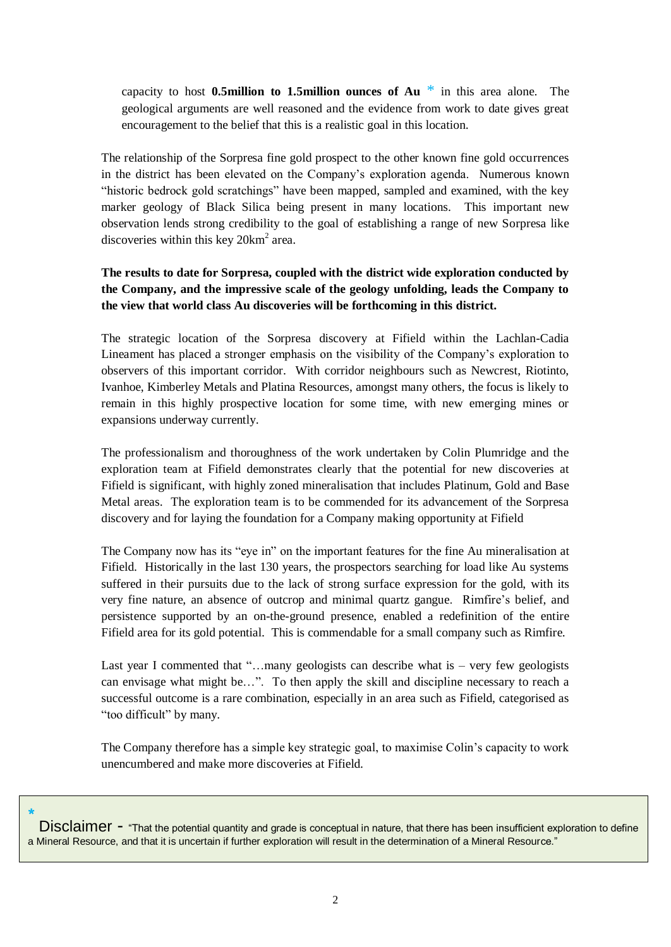capacity to host **0.5million to 1.5million ounces of Au** \* in this area alone. The geological arguments are well reasoned and the evidence from work to date gives great encouragement to the belief that this is a realistic goal in this location.

The relationship of the Sorpresa fine gold prospect to the other known fine gold occurrences in the district has been elevated on the Company's exploration agenda. Numerous known "historic bedrock gold scratchings" have been mapped, sampled and examined, with the key marker geology of Black Silica being present in many locations. This important new observation lends strong credibility to the goal of establishing a range of new Sorpresa like discoveries within this key  $20 \text{km}^2$  area.

## **The results to date for Sorpresa, coupled with the district wide exploration conducted by the Company, and the impressive scale of the geology unfolding, leads the Company to the view that world class Au discoveries will be forthcoming in this district.**

The strategic location of the Sorpresa discovery at Fifield within the Lachlan-Cadia Lineament has placed a stronger emphasis on the visibility of the Company's exploration to observers of this important corridor. With corridor neighbours such as Newcrest, Riotinto, Ivanhoe, Kimberley Metals and Platina Resources, amongst many others, the focus is likely to remain in this highly prospective location for some time, with new emerging mines or expansions underway currently.

The professionalism and thoroughness of the work undertaken by Colin Plumridge and the exploration team at Fifield demonstrates clearly that the potential for new discoveries at Fifield is significant, with highly zoned mineralisation that includes Platinum, Gold and Base Metal areas. The exploration team is to be commended for its advancement of the Sorpresa discovery and for laying the foundation for a Company making opportunity at Fifield

The Company now has its "eye in" on the important features for the fine Au mineralisation at Fifield. Historically in the last 130 years, the prospectors searching for load like Au systems suffered in their pursuits due to the lack of strong surface expression for the gold, with its very fine nature, an absence of outcrop and minimal quartz gangue. Rimfire's belief, and persistence supported by an on-the-ground presence, enabled a redefinition of the entire Fifield area for its gold potential. This is commendable for a small company such as Rimfire.

Last year I commented that "...many geologists can describe what is – very few geologists can envisage what might be…". To then apply the skill and discipline necessary to reach a successful outcome is a rare combination, especially in an area such as Fifield, categorised as "too difficult" by many.

The Company therefore has a simple key strategic goal, to maximise Colin's capacity to work unencumbered and make more discoveries at Fifield.

\* Disclaimer - "That the potential quantity and grade is conceptual in nature, that there has been insufficient exploration to define a Mineral Resource, and that it is uncertain if further exploration will result in the determination of a Mineral Resource."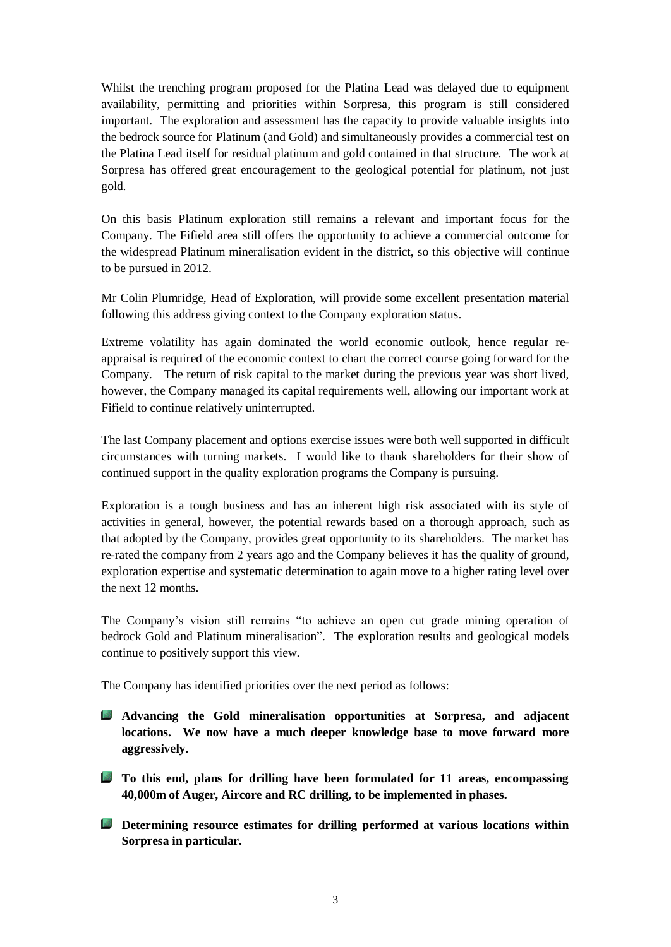Whilst the trenching program proposed for the Platina Lead was delayed due to equipment availability, permitting and priorities within Sorpresa, this program is still considered important. The exploration and assessment has the capacity to provide valuable insights into the bedrock source for Platinum (and Gold) and simultaneously provides a commercial test on the Platina Lead itself for residual platinum and gold contained in that structure. The work at Sorpresa has offered great encouragement to the geological potential for platinum, not just gold.

On this basis Platinum exploration still remains a relevant and important focus for the Company. The Fifield area still offers the opportunity to achieve a commercial outcome for the widespread Platinum mineralisation evident in the district, so this objective will continue to be pursued in 2012.

Mr Colin Plumridge, Head of Exploration, will provide some excellent presentation material following this address giving context to the Company exploration status.

Extreme volatility has again dominated the world economic outlook, hence regular reappraisal is required of the economic context to chart the correct course going forward for the Company. The return of risk capital to the market during the previous year was short lived, however, the Company managed its capital requirements well, allowing our important work at Fifield to continue relatively uninterrupted.

The last Company placement and options exercise issues were both well supported in difficult circumstances with turning markets. I would like to thank shareholders for their show of continued support in the quality exploration programs the Company is pursuing.

Exploration is a tough business and has an inherent high risk associated with its style of activities in general, however, the potential rewards based on a thorough approach, such as that adopted by the Company, provides great opportunity to its shareholders. The market has re-rated the company from 2 years ago and the Company believes it has the quality of ground, exploration expertise and systematic determination to again move to a higher rating level over the next 12 months.

The Company's vision still remains "to achieve an open cut grade mining operation of bedrock Gold and Platinum mineralisation". The exploration results and geological models continue to positively support this view.

The Company has identified priorities over the next period as follows:

- **Advancing the Gold mineralisation opportunities at Sorpresa, and adjacent locations. We now have a much deeper knowledge base to move forward more aggressively.**
- **To this end, plans for drilling have been formulated for 11 areas, encompassing 40,000m of Auger, Aircore and RC drilling, to be implemented in phases.**
- **Determining resource estimates for drilling performed at various locations within Sorpresa in particular.**